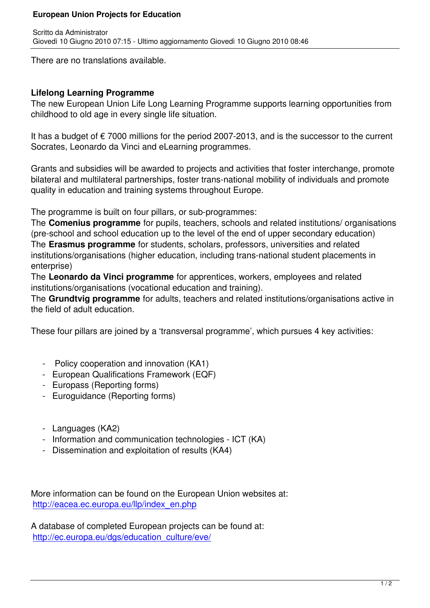There are no translations available.

## **Lifelong Learning Programme**

The new European Union Life Long Learning Programme supports learning opportunities from childhood to old age in every single life situation.

It has a budget of  $\epsilon$  7000 millions for the period 2007-2013, and is the successor to the current Socrates, Leonardo da Vinci and eLearning programmes.

Grants and subsidies will be awarded to projects and activities that foster interchange, promote bilateral and multilateral partnerships, foster trans-national mobility of individuals and promote quality in education and training systems throughout Europe.

The programme is built on four pillars, or sub-programmes:

The **Comenius programme** for pupils, teachers, schools and related institutions/ organisations (pre-school and school education up to the level of the end of upper secondary education) The **Erasmus programme** for students, scholars, professors, universities and related institutions/organisations (higher education, including trans-national student placements in enterprise)

The **Leonardo da Vinci programme** for apprentices, workers, employees and related institutions/organisations (vocational education and training).

The **Grundtvig programme** for adults, teachers and related institutions/organisations active in the field of adult education.

These four pillars are joined by a 'transversal programme', which pursues 4 key activities:

- Policy cooperation and innovation (KA1)
- European Qualifications Framework (EQF)
- Europass (Reporting forms)
- Euroquidance (Reporting forms)
- Languages (KA2)
- Information and communication technologies ICT (KA)
- Dissemination and exploitation of results (KA4)

More information can be found on the European Union websites at: http://eacea.ec.europa.eu/llp/index\_en.php

A database of completed European projects can be found at: [http://ec.europa.eu/dgs/education\\_culture/e](http://eacea.ec.europa.eu/llp/index_en.php)ve/